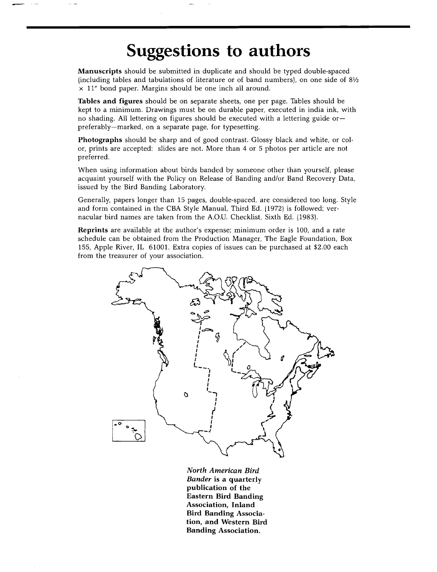## **Suggestions to authors**

**Manuscripts should be submitted in duplicate and should be typed double-spaced (including tables and tabulations of literature or of band numbers), on one side of 81/2 x 11" bond paper. Margins should be one inch all around.** 

**Tables and figures should be on separate sheets, one per page. Tables should be kept to a minimum. Drawings must be on durable paper, executed in india ink, with no shading. All lettering on figures should be executed with a lettering guide or- preferably--marked, on a separate page, for typesetting.** 

**Photographs should be sharp and of good contrast. Glossy black and white, or color, prints are accepted: slides are not. More than 4 or 5 photos per article are not preferred.** 

**When using information about birds banded by someone other than yourself, please acquaint yourself with the Policy on Release of Banding and/or Band Recovery Data, issued by the Bird Banding Laboratory.** 

**Generally, papers longer than 15 pages, double-spaced, are considered too long. Style and form contained in the CBA Style Manual, Third Ed. (1972) is followed; vernacular bird names are taken from the A.O.U. Checklist, Sixth Ed. (1983).** 

**Reprints are available at the author's expense; minimum order is 100, and a rate schedule can be obtained from the Production Manager, The Eagle Foundation, Box 155, Apple River, IL 61001. Extra copies of issues can be purchased at \$2.00 each from the treasurer of your association.** 



**North American Bird Bander is a quarterly publication of the Eastern Bird Banding Association, Inland Bird Banding Association, and Western Bird Banding Association.**